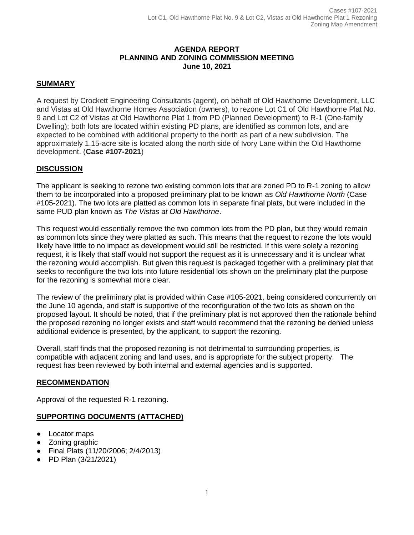### **AGENDA REPORT PLANNING AND ZONING COMMISSION MEETING June 10, 2021**

# **SUMMARY**

A request by Crockett Engineering Consultants (agent), on behalf of Old Hawthorne Development, LLC and Vistas at Old Hawthorne Homes Association (owners), to rezone Lot C1 of Old Hawthorne Plat No. 9 and Lot C2 of Vistas at Old Hawthorne Plat 1 from PD (Planned Development) to R-1 (One-family Dwelling); both lots are located within existing PD plans, are identified as common lots, and are expected to be combined with additional property to the north as part of a new subdivision. The approximately 1.15-acre site is located along the north side of Ivory Lane within the Old Hawthorne development. (**Case #107-2021**)

### **DISCUSSION**

The applicant is seeking to rezone two existing common lots that are zoned PD to R-1 zoning to allow them to be incorporated into a proposed preliminary plat to be known as *Old Hawthorne North* (Case #105-2021). The two lots are platted as common lots in separate final plats, but were included in the same PUD plan known as *The Vistas at Old Hawthorne*.

This request would essentially remove the two common lots from the PD plan, but they would remain as common lots since they were platted as such. This means that the request to rezone the lots would likely have little to no impact as development would still be restricted. If this were solely a rezoning request, it is likely that staff would not support the request as it is unnecessary and it is unclear what the rezoning would accomplish. But given this request is packaged together with a preliminary plat that seeks to reconfigure the two lots into future residential lots shown on the preliminary plat the purpose for the rezoning is somewhat more clear.

The review of the preliminary plat is provided within Case #105-2021, being considered concurrently on the June 10 agenda, and staff is supportive of the reconfiguration of the two lots as shown on the proposed layout. It should be noted, that if the preliminary plat is not approved then the rationale behind the proposed rezoning no longer exists and staff would recommend that the rezoning be denied unless additional evidence is presented, by the applicant, to support the rezoning.

Overall, staff finds that the proposed rezoning is not detrimental to surrounding properties, is compatible with adjacent zoning and land uses, and is appropriate for the subject property. The request has been reviewed by both internal and external agencies and is supported.

#### **RECOMMENDATION**

Approval of the requested R-1 rezoning.

#### **SUPPORTING DOCUMENTS (ATTACHED)**

- Locator maps
- Zoning graphic
- Final Plats (11/20/2006; 2/4/2013)
- PD Plan (3/21/2021)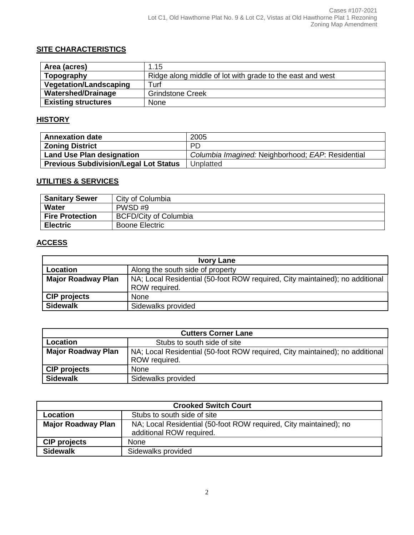# **SITE CHARACTERISTICS**

| Area (acres)                  | 1.15                                                      |
|-------------------------------|-----------------------------------------------------------|
| Topography                    | Ridge along middle of lot with grade to the east and west |
| <b>Vegetation/Landscaping</b> | Turf                                                      |
| <b>Watershed/Drainage</b>     | <b>Grindstone Creek</b>                                   |
| <b>Existing structures</b>    | <b>None</b>                                               |

# **HISTORY**

| <b>Annexation date</b>                       | 2005                                              |
|----------------------------------------------|---------------------------------------------------|
| <b>Zoning District</b>                       | <b>PD</b>                                         |
| <b>Land Use Plan designation</b>             | Columbia Imagined: Neighborhood; EAP: Residential |
| <b>Previous Subdivision/Legal Lot Status</b> | Unplatted                                         |

## **UTILITIES & SERVICES**

| <b>Sanitary Sewer</b>  | City of Columbia             |
|------------------------|------------------------------|
| Water                  | PWSD#9                       |
| <b>Fire Protection</b> | <b>BCFD/City of Columbia</b> |
| <b>Electric</b>        | <b>Boone Electric</b>        |

# **ACCESS**

| <b>Ivory Lane</b>         |                                                                                               |  |
|---------------------------|-----------------------------------------------------------------------------------------------|--|
| Location                  | Along the south side of property                                                              |  |
| <b>Major Roadway Plan</b> | NA; Local Residential (50-foot ROW required, City maintained); no additional<br>ROW required. |  |
| <b>CIP projects</b>       | None                                                                                          |  |
| <b>Sidewalk</b>           | Sidewalks provided                                                                            |  |

| <b>Cutters Corner Lane</b> |                                                                                               |  |
|----------------------------|-----------------------------------------------------------------------------------------------|--|
| Location                   | Stubs to south side of site                                                                   |  |
| <b>Major Roadway Plan</b>  | NA; Local Residential (50-foot ROW required, City maintained); no additional<br>ROW required. |  |
| <b>CIP projects</b>        | <b>None</b>                                                                                   |  |
| <b>Sidewalk</b>            | Sidewalks provided                                                                            |  |

| <b>Crooked Switch Court</b> |                                                                                               |  |
|-----------------------------|-----------------------------------------------------------------------------------------------|--|
| Location                    | Stubs to south side of site                                                                   |  |
| <b>Major Roadway Plan</b>   | NA; Local Residential (50-foot ROW required, City maintained); no<br>additional ROW required. |  |
| <b>CIP projects</b>         | <b>None</b>                                                                                   |  |
| <b>Sidewalk</b>             | Sidewalks provided                                                                            |  |